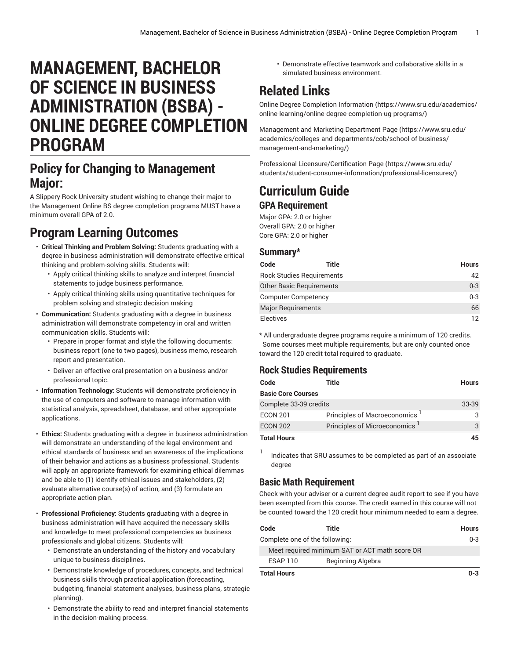# **MANAGEMENT, BACHELOR OF SCIENCE IN BUSINESS ADMINISTRATION (BSBA) - ONLINE DEGREE COMPLETION PROGRAM**

## **Policy for Changing to Management Major:**

A Slippery Rock University student wishing to change their major to the Management Online BS degree completion programs MUST have a minimum overall GPA of 2.0.

## **Program Learning Outcomes**

- **Critical Thinking and Problem Solving:** Students graduating with a degree in business administration will demonstrate effective critical thinking and problem-solving skills. Students will:
	- Apply critical thinking skills to analyze and interpret financial statements to judge business performance.
	- Apply critical thinking skills using quantitative techniques for problem solving and strategic decision making
- **Communication:** Students graduating with a degree in business administration will demonstrate competency in oral and written communication skills. Students will:
	- Prepare in proper format and style the following documents: business report (one to two pages), business memo, research report and presentation.
	- Deliver an effective oral presentation on a business and/or professional topic.
- **Information Technology:** Students will demonstrate proficiency in the use of computers and software to manage information with statistical analysis, spreadsheet, database, and other appropriate applications.
- **Ethics:** Students graduating with a degree in business administration will demonstrate an understanding of the legal environment and ethical standards of business and an awareness of the implications of their behavior and actions as a business professional. Students will apply an appropriate framework for examining ethical dilemmas and be able to (1) identify ethical issues and stakeholders, (2) evaluate alternative course(s) of action, and (3) formulate an appropriate action plan.
- **Professional Proficiency:** Students graduating with a degree in business administration will have acquired the necessary skills and knowledge to meet professional competencies as business professionals and global citizens. Students will:
	- Demonstrate an understanding of the history and vocabulary unique to business disciplines.
	- Demonstrate knowledge of procedures, concepts, and technical business skills through practical application (forecasting, budgeting, financial statement analyses, business plans, strategic planning).
	- Demonstrate the ability to read and interpret financial statements in the decision-making process.

• Demonstrate effective teamwork and collaborative skills in a simulated business environment.

## **Related Links**

Online Degree Completion [Information \(https://www.sru.edu/academics/](https://www.sru.edu/academics/online-learning/online-degree-completion-ug-programs/) [online-learning/online-degree-completion-ug-programs/](https://www.sru.edu/academics/online-learning/online-degree-completion-ug-programs/))

[Management](https://www.sru.edu/academics/colleges-and-departments/cob/school-of-business/management-and-marketing/) and Marketing Department Page [\(https://www.sru.edu/](https://www.sru.edu/academics/colleges-and-departments/cob/school-of-business/management-and-marketing/) [academics/colleges-and-departments/cob/school-of-business/](https://www.sru.edu/academics/colleges-and-departments/cob/school-of-business/management-and-marketing/) [management-and-marketing/](https://www.sru.edu/academics/colleges-and-departments/cob/school-of-business/management-and-marketing/))

Professional [Licensure/Certification](https://www.sru.edu/students/student-consumer-information/professional-licensures/) Page [\(https://www.sru.edu/](https://www.sru.edu/students/student-consumer-information/professional-licensures/) [students/student-consumer-information/professional-licensures/](https://www.sru.edu/students/student-consumer-information/professional-licensures/))

# **Curriculum Guide**

**GPA Requirement**

Major GPA: 2.0 or higher Overall GPA: 2.0 or higher Core GPA: 2.0 or higher

#### **Summary\***

| Code                             | Title | <b>Hours</b> |
|----------------------------------|-------|--------------|
| <b>Rock Studies Requirements</b> |       | 42           |
| <b>Other Basic Requirements</b>  |       | $0 - 3$      |
| <b>Computer Competency</b>       |       | $0 - 3$      |
| <b>Major Requirements</b>        |       | 66           |
| <b>Electives</b>                 |       | 12           |

\* All undergraduate degree programs require a minimum of 120 credits. Some courses meet multiple requirements, but are only counted once toward the 120 credit total required to graduate.

### **Rock Studies Requirements**

| Code                      | Title                                     | <b>Hours</b> |
|---------------------------|-------------------------------------------|--------------|
| <b>Basic Core Courses</b> |                                           |              |
| Complete 33-39 credits    |                                           | 33-39        |
| <b>ECON 201</b>           | Principles of Macroeconomics <sup>1</sup> | 3            |
| <b>ECON 202</b>           | Principles of Microeconomics              | 3            |
| <b>Total Hours</b>        |                                           | 45           |

1 Indicates that SRU assumes to be completed as part of an associate degree

### **Basic Math Requirement**

Check with your adviser or a current degree audit report to see if you have been exempted from this course. The credit earned in this course will not be counted toward the 120 credit hour minimum needed to earn a degree.

| Code                           | Title                                          | <b>Hours</b> |
|--------------------------------|------------------------------------------------|--------------|
| Complete one of the following: |                                                | $0 - 3$      |
|                                | Meet required minimum SAT or ACT math score OR |              |
| <b>ESAP 110</b>                | Beginning Algebra                              |              |
| <b>Total Hours</b>             |                                                | 0-3          |